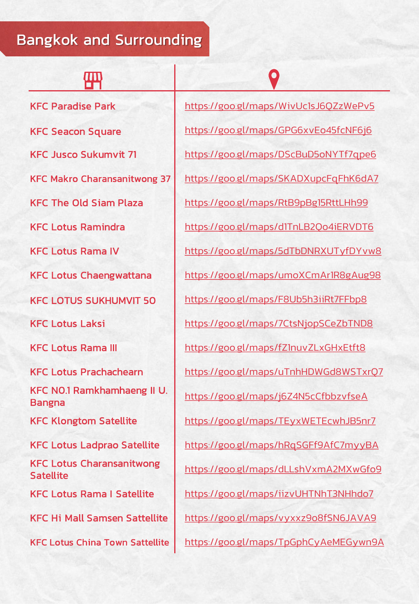## 冊

KFC N0.1 Ramkhamhaeng II U.

KFC Lotus Charansanitwong

KFC Lotus China Town Sattellite | <https://goo.gl/maps/TpGphCyAeMEGywn9A>

KFC Paradise Park <https://goo.gl/maps/WivUc1sJ6QZzWePv5> KFC Seacon Square <https://goo.gl/maps/GPG6xvEo45fcNF6j6> KFC Jusco Sukumvit 71 <https://goo.gl/maps/DScBuD5oNYTf7qpe6> KFC Makro Charansanitwong 37 <https://goo.gl/maps/SKADXupcFqFhK6dA7> KFC The Old Siam Plaza | <https://goo.gl/maps/RtB9pBg15RttLHh99> KFC Lotus Ramindra <https://goo.gl/maps/d1TnLB2Qo4iERVDT6> KFC Lotus Rama IV <https://goo.gl/maps/5dTbDNRXUTyfDYvw8> KFC Lotus Chaengwattana | <https://goo.gl/maps/umoXCmAr1R8gAug98> KFC LOTUS SUKHUMVIT 50 <https://goo.gl/maps/F8Ub5h3iiRt7FFbp8> KFC Lotus Laksi <https://goo.gl/maps/7CtsNjopSCeZbTND8> KFC Lotus Rama III <https://goo.gl/maps/fZ1nuvZLxGHxEtft8> KFC Lotus Prachachearn <https://goo.gl/maps/uTnhHDWGd8WSTxrQ7> Richter, Rammannachg in D. <https://goo.gl/maps/j6Z4N5cCfbbzvfseA> KFC Klongtom Satellite | <https://goo.gl/maps/TEyxWETEcwhJB5nr7> KFC Lotus Ladprao Satellite | <https://goo.gl/maps/hRqSGFf9AfC7myyBA> Satellite <https://goo.gl/maps/dLLshVxmA2MXwGfo9> KFC Lotus Rama I Satellite | <https://goo.gl/maps/iizvUHTNhT3NHhdo7> KFC Hi Mall Samsen Sattellite | <https://goo.gl/maps/vyxxz9o8fSN6JAVA9>

O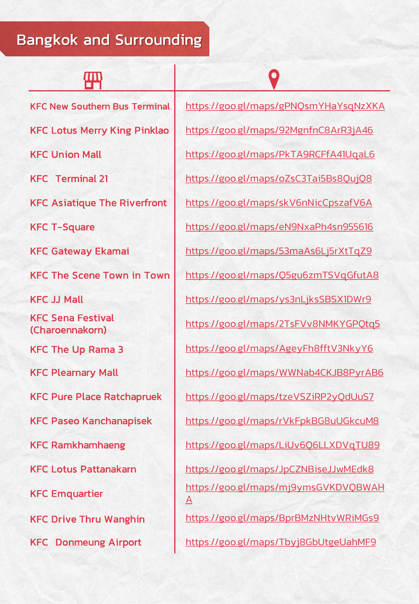| <b>KFC New Southern Bus Terminal</b>        | https://goo.gl/maps/gPNQsmYHaYsqNzXKA                           |
|---------------------------------------------|-----------------------------------------------------------------|
| <b>KFC Lotus Merry King Pinklao</b>         | https://goo.gl/maps/92MgnfnC8ArR3jA46                           |
| <b>KFC Union Mall</b>                       | https://goo.gl/maps/PkTA9RCFfA41UqaL6                           |
| <b>KFC</b> Terminal 21                      | https://goo.gl/maps/oZsC3Tai5Bs8QujQ8                           |
| <b>KFC Asiatique The Riverfront</b>         | https://goo.gl/maps/skV6nNicCpszafV6A                           |
| <b>KFC T-Square</b>                         | https://goo.gl/maps/eN9NxaPh4sn955616                           |
| <b>KFC Gateway Ekamai</b>                   | https://goo.gl/maps/53maAs6Lj5rXtTqZ9                           |
| <b>KFC The Scene Town in Town</b>           | https://goo.gl/maps/Q5gu6zmTSVqGfutA8                           |
| <b>KFC JJ Mall</b>                          | https://goo.gl/maps/ys3nLjksSBSX1DWr9                           |
| <b>KFC Sena Festival</b><br>(Charoennakorn) | https://goo.gl/maps/2TsFVv8NMKYGPQtq5                           |
| <b>KFC The Up Rama 3</b>                    | https://goo.gl/maps/AgeyFh8fftV3NkyY6                           |
| <b>KFC Plearnary Mall</b>                   | https://goo.gl/maps/WWNab4CKJB8PyrAB6                           |
| <b>KFC Pure Place Ratchapruek</b>           | https://goo.gl/maps/tzeVSZiRP2yQdUuS7                           |
| <b>KFC Paseo Kanchanapisek</b>              | https://goo.gl/maps/rVkFpkBG8uUGkcuM8                           |
| <b>KFC Ramkhamhaeng</b>                     | https://goo.gl/maps/LiUv6Q6LLXDVqTU89                           |
| <b>KFC Lotus Pattanakarn</b>                | https://goo.gl/maps/JpCZNBiseJJwMEdk8                           |
| <b>KFC Emquartier</b>                       | https://goo.gl/maps/mj9ymsGVKDVQBWAH<br>$\overline{\mathsf{A}}$ |
| <b>KFC Drive Thru Wanghin</b>               | https://goo.gl/maps/BprBMzNHtvWRiMGs9                           |
| <b>KFC</b> Donmeung Airport                 | https://goo.gl/maps/Tbyj8GbUtgeUahMF9                           |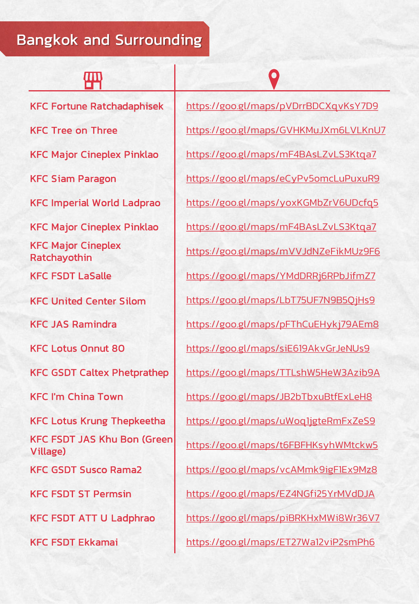## 冊

KFC Major Cineplex

KFC FSDT JAS Khu Bon (Green

KFC FSDT Ekkamai <https://goo.gl/maps/ET27Wa12viP2smPh6>

KFC Fortune Ratchadaphisek | <https://goo.gl/maps/pVDrrBDCXqvKsY7D9> KFC Tree on Three <https://goo.gl/maps/GVHKMuJXm6LVLKnU7> KFC Major Cineplex Pinklao | https://goo.gl/maps/mF4BAsLZvLS3Ktqa7 KFC Siam Paragon <https://goo.gl/maps/eCyPv5omcLuPuxuR9> KFC Imperial World Ladprao | <https://goo.gl/maps/yoxKGMbZrV6UDcfq5> KFC Major Cineplex Pinklao | https://goo.gl/maps/mF4BAsLZvLS3Ktga7 Ratchayothin <https://goo.gl/maps/mVVJdNZeFikMUz9F6> KFC FSDT LaSalle <https://goo.gl/maps/YMdDRRj6RPbJifmZ7> KFC United Center Silom | <https://goo.gl/maps/LbT75UF7N9B5QjHs9> KFC JAS Ramindra <https://goo.gl/maps/pFThCuEHykj79AEm8> KFC Lotus Onnut 80 <https://goo.gl/maps/siE619AkvGrJeNUs9> KFC GSDT Caltex Phetprathep | <https://goo.gl/maps/TTLshW5HeW3Azib9A> KFC I'm China Town <https://goo.gl/maps/JB2bTbxuBtfExLeH8> KFC Lotus Krung Thepkeetha | <https://goo.gl/maps/uWoq1jgteRmFxZeS9> Willage) will be the contract of the <https://goo.gl/maps/t6FBFHKsyhWMtckw5> KFC GSDT Susco Rama2 <https://goo.gl/maps/vcAMmk9igF1Ex9Mz8> KFC FSDT ST Permsin <https://goo.gl/maps/EZ4NGfi25YrMVdDJA> KFC FSDT ATT U Ladphrao | <https://goo.gl/maps/piBRKHxMWi8Wr36V7>

 $\mathbf O$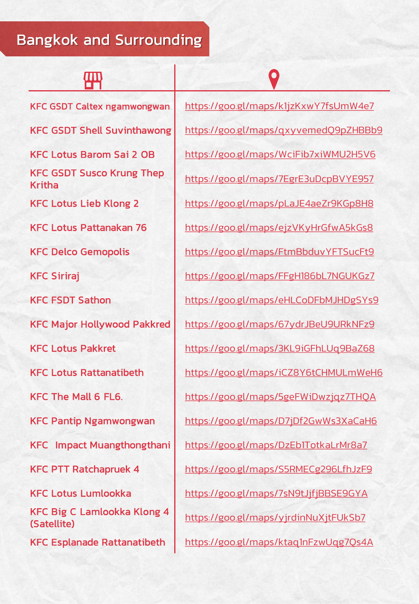## Щ

KFC GSDT Susco Krung Thep

KFC Big C Lamlookka Klong 4

KFC Esplanade Rattanatibeth | <https://goo.gl/maps/ktaq1nFzwUqg7Qs4A>

KFC GSDT Caltex ngamwongwan | <https://goo.gl/maps/k1jzKxwY7fsUmW4e7> KFC GSDT Shell Suvinthawong | <https://goo.gl/maps/qxyvemedQ9pZHBBb9> KFC Lotus Barom Sai 2 OB <https://goo.gl/maps/WciFib7xiWMU2H5V6> Kritha **<https://goo.gl/maps/7EgrE3uDcpBVYE957>** KFC Lotus Lieb Klong 2 <https://goo.gl/maps/pLaJE4aeZr9KGp8H8> KFC Lotus Pattanakan 76 <https://goo.gl/maps/ejzVKyHrGfwA5kGs8> KFC Delco Gemopolis <https://goo.gl/maps/FtmBbduvYFTSucFt9> KFC Siriraj <https://goo.gl/maps/FFgH186bL7NGUKGz7> KFC FSDT Sathon https://goo.gl/maps/eHLCoDFbMJHDgSYs9 KFC Major Hollywood Pakkred | <https://goo.gl/maps/67ydrJBeU9URkNFz9> KFC Lotus Pakkret <https://goo.gl/maps/3KL9iGFhLUq9BaZ68> KFC Lotus Rattanatibeth <https://goo.gl/maps/iCZ8Y6tCHMULmWeH6> KFC The Mall 6 FL6. <https://goo.gl/maps/5geFWiDwzjqz7THQA> KFC Pantip Ngamwongwan | <https://goo.gl/maps/D7jDf2GwWs3XaCaH6> KFC Impact Muangthongthani | <https://goo.gl/maps/DzEb1TotkaLrMr8a7> KFC PTT Ratchapruek 4 <https://goo.gl/maps/S5RMECg296LfhJzF9> KFC Lotus Lumlookka <https://goo.gl/maps/7sN9tJjfjBBSE9GYA> Ki C Dig C Lamiookka Kiong T <https://goo.gl/maps/yjrdinNuXjtFUkSb7>

 $\mathbf O$